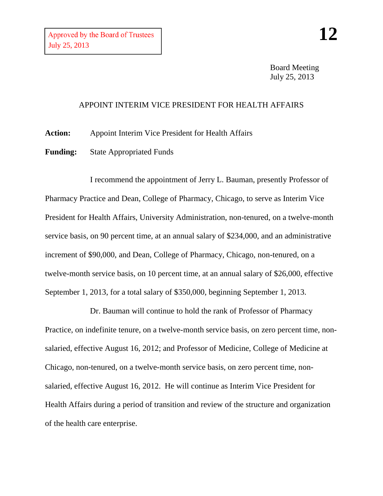Board Meeting July 25, 2013

## APPOINT INTERIM VICE PRESIDENT FOR HEALTH AFFAIRS

**Action:** Appoint Interim Vice President for Health Affairs

**Funding:** State Appropriated Funds

I recommend the appointment of Jerry L. Bauman, presently Professor of Pharmacy Practice and Dean, College of Pharmacy, Chicago, to serve as Interim Vice President for Health Affairs, University Administration, non-tenured, on a twelve-month service basis, on 90 percent time, at an annual salary of \$234,000, and an administrative increment of \$90,000, and Dean, College of Pharmacy, Chicago, non-tenured, on a twelve-month service basis, on 10 percent time, at an annual salary of \$26,000, effective September 1, 2013, for a total salary of \$350,000, beginning September 1, 2013.

Dr. Bauman will continue to hold the rank of Professor of Pharmacy Practice, on indefinite tenure, on a twelve-month service basis, on zero percent time, nonsalaried, effective August 16, 2012; and Professor of Medicine, College of Medicine at Chicago, non-tenured, on a twelve-month service basis, on zero percent time, nonsalaried, effective August 16, 2012. He will continue as Interim Vice President for Health Affairs during a period of transition and review of the structure and organization of the health care enterprise.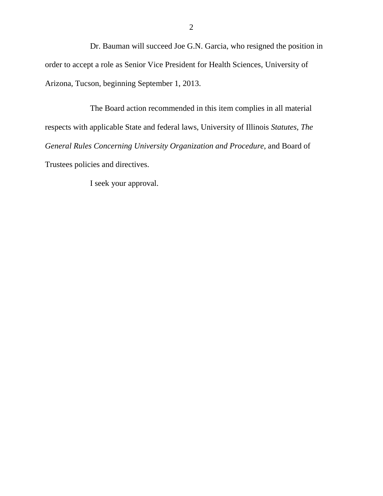Dr. Bauman will succeed Joe G.N. Garcia, who resigned the position in order to accept a role as Senior Vice President for Health Sciences, University of Arizona, Tucson, beginning September 1, 2013.

The Board action recommended in this item complies in all material respects with applicable State and federal laws, University of Illinois *Statutes, The General Rules Concerning University Organization and Procedure*, and Board of Trustees policies and directives.

I seek your approval.